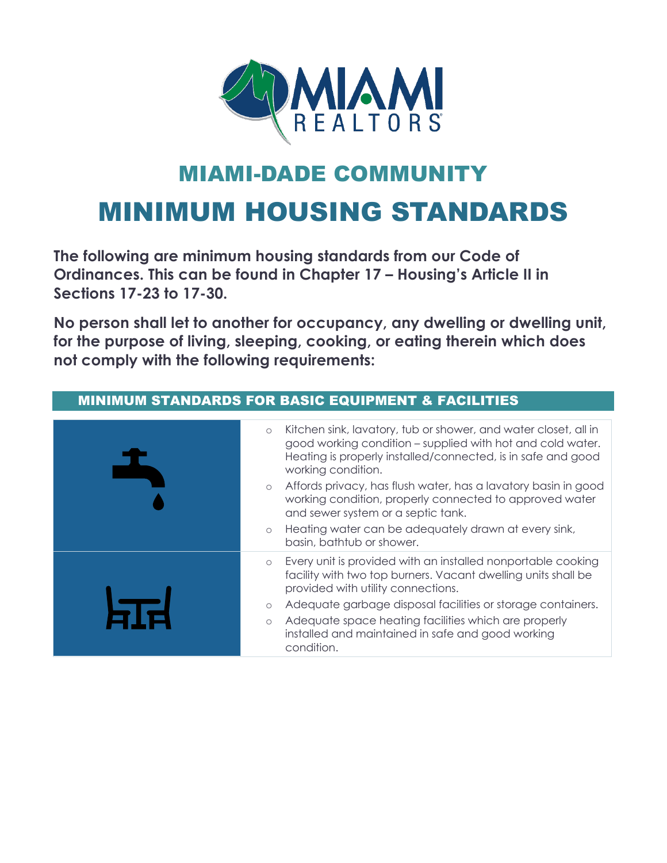

## **MIAMI-DADE COMMUNI**

# MINIMUM HOUSING STANDARDS

**The following are minimum housing standards from our Code of Ordinances. This can be found in Chapter 17 – Housing's Article II in Sections 17-23 to 17-30.** 

**No person shall let to another for occupancy, any dwelling or dwelling unit, for the purpose of living, sleeping, cooking, or eating therein which does not comply with the following requirements:**

#### MINIMUM STANDARDS FOR BASIC EQUIPMENT & FACILITIES o Kitchen sink, lavatory, tub or shower, and water closet, all in good working condition – supplied with hot and cold water. Heating is properly installed/connected, is in safe and good working condition. o Affords privacy, has flush water, has a lavatory basin in good working condition, properly connected to approved water and sewer system or a septic tank. o Heating water can be adequately drawn at every sink, basin, bathtub or shower. o Every unit is provided with an installed nonportable cooking facility with two top burners. Vacant dwelling units shall be provided with utility connections. o Adequate garbage disposal facilities or storage containers. Adequate space heating facilities which are properly installed and maintained in safe and good working condition.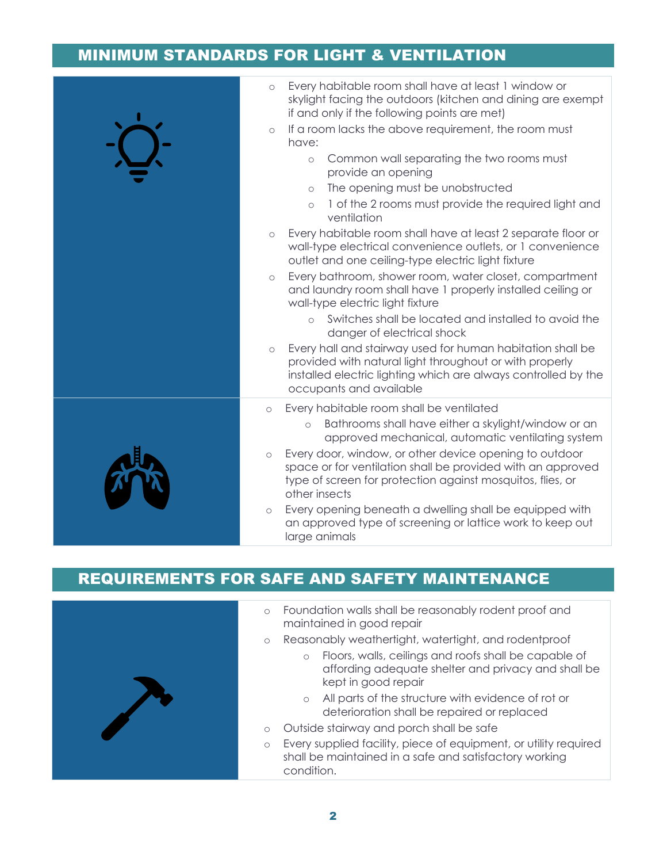#### MINIMUM STANDARDS FOR LIGHT & VENTILATION



### REQUIREMENTS FOR SAFE AND SAFETY MAINTENANCE



- o Foundation walls shall be reasonably rodent proof and maintained in good repair
- o Reasonably weathertight, watertight, and rodentproof
	- o Floors, walls, ceilings and roofs shall be capable of affording adequate shelter and privacy and shall be kept in good repair
	- o All parts of the structure with evidence of rot or deterioration shall be repaired or replaced
- o Outside stairway and porch shall be safe
- o Every supplied facility, piece of equipment, or utility required shall be maintained in a safe and satisfactory working condition.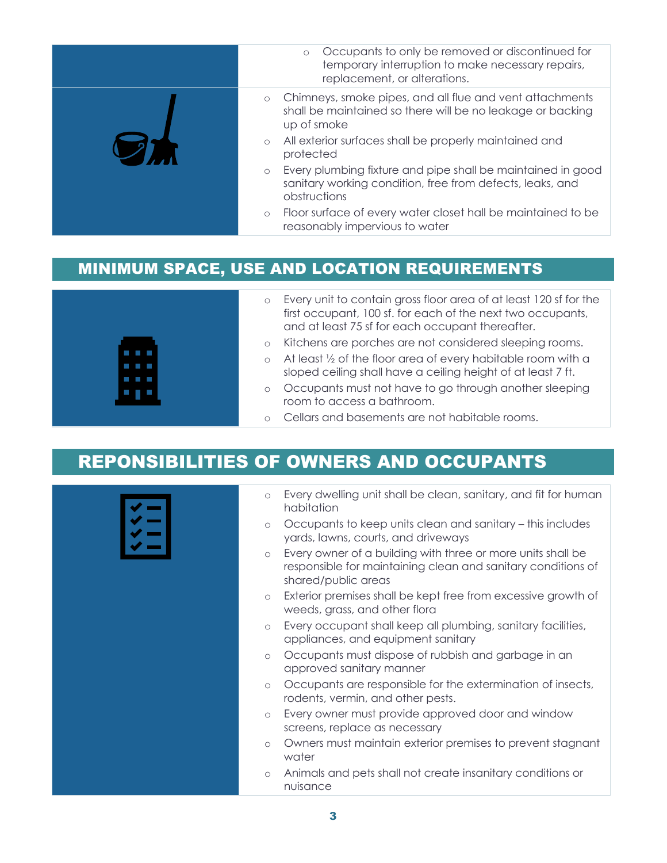| Occupants to only be removed or discontinued for<br>$\circ$<br>temporary interruption to make necessary repairs,<br>replacement, or alterations.    |
|-----------------------------------------------------------------------------------------------------------------------------------------------------|
| Chimneys, smoke pipes, and all flue and vent attachments<br>$\circ$<br>shall be maintained so there will be no leakage or backing<br>up of smoke    |
| All exterior surfaces shall be properly maintained and<br>$\circ$<br>protected                                                                      |
| Every plumbing fixture and pipe shall be maintained in good<br>$\circ$<br>sanitary working condition, free from defects, leaks, and<br>obstructions |
| Floor surface of every water closet hall be maintained to be<br>$\circ$<br>reasonably impervious to water                                           |

#### MINIMUM SPACE, USE AND LOCATION REQUIREMENTS



- o Every unit to contain gross floor area of at least 120 sf for the first occupant, 100 sf. for each of the next two occupants, and at least 75 sf for each occupant thereafter.
- o Kitchens are porches are not considered sleeping rooms.
- o At least ½ of the floor area of every habitable room with a sloped ceiling shall have a ceiling height of at least 7 ft.
- o Occupants must not have to go through another sleeping room to access a bathroom.
- o Cellars and basements are not habitable rooms.

## REPONSIBILITIES OF OWNERS AND OCCUPANTS

| ۰ |  |
|---|--|
|   |  |
|   |  |

- o Every dwelling unit shall be clean, sanitary, and fit for human habitation
- o Occupants to keep units clean and sanitary this includes yards, lawns, courts, and driveways
- o Every owner of a building with three or more units shall be responsible for maintaining clean and sanitary conditions of shared/public areas
- o Exterior premises shall be kept free from excessive growth of weeds, grass, and other flora
- o Every occupant shall keep all plumbing, sanitary facilities, appliances, and equipment sanitary
- o Occupants must dispose of rubbish and garbage in an approved sanitary manner
- o Occupants are responsible for the extermination of insects, rodents, vermin, and other pests.
- o Every owner must provide approved door and window screens, replace as necessary
- o Owners must maintain exterior premises to prevent stagnant water
- o Animals and pets shall not create insanitary conditions or nuisance